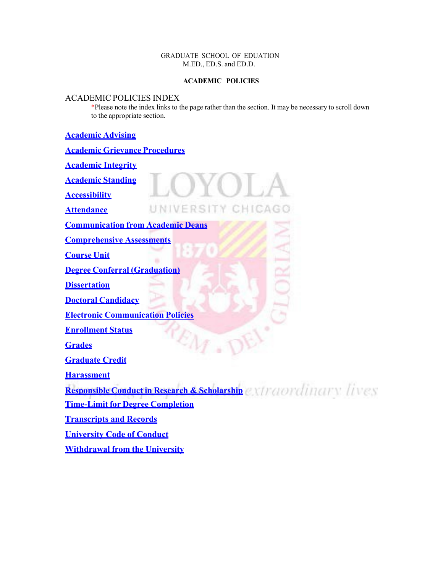# GRADUATE SCHOOL OF EDUATION M.ED., ED.S. and ED.D.

# **ACADEMIC POLICIES**

# ACADEMIC POLICIES INDEX

\*Please note the index links to the page rather than the section. It may be necessary to scroll down to the appropriate section.

# **[Academic](#page-1-0) Advising**

| <b>Academic Grievance Procedures</b>                              |
|-------------------------------------------------------------------|
| <b>Academic Integrity</b>                                         |
| <b>Academic Standing</b>                                          |
| <b>Accessibility</b>                                              |
| UNIVERSITY CHICAGO<br><b>Attendance</b>                           |
| <b>Communication from Academic Deans</b>                          |
| <b>Comprehensive Assessments</b>                                  |
| <b>Course Unit</b>                                                |
| <b>Degree Conferral (Graduation)</b>                              |
| <b>Dissertation</b>                                               |
| <b>Doctoral Candidacy</b>                                         |
| <b>Electronic Communication Policies</b>                          |
| <b>Enrollment Status</b>                                          |
| <b>Grades</b>                                                     |
| <b>Graduate Credit</b>                                            |
| <b>Harassment</b>                                                 |
| Responsible Conduct in Research & Scholarship extraordinary lives |
| <b>Time-Limit for Degree Completion</b>                           |
| <b>Transcripts and Records</b>                                    |
| <b>University Code of Conduct</b>                                 |
| <b>Withdrawal from the University</b>                             |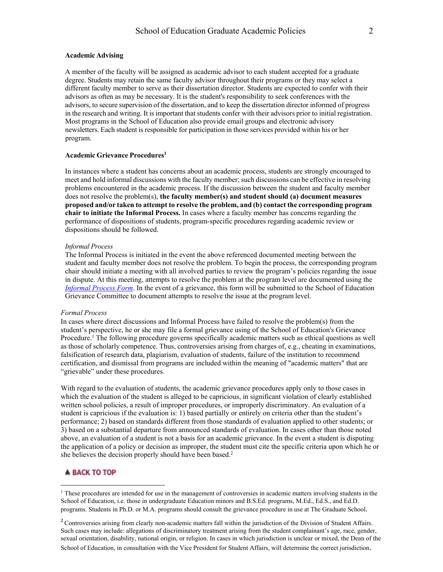### <span id="page-1-0"></span>**Academic Advising**

A member of the faculty will be assigned as academic advisor to each student accepted for a graduate degree. Students may retain the same faculty advisor throughout their programs or they may select a different faculty member to serve as their dissertation director. Students are expected to confer with their advisors as often as may be necessary. It is the student's responsibility to seek conferences with the advisors, to secure supervision of the dissertation, and to keep the dissertation director informed of progress in the research and writing. It isimportant that students confer with their advisors prior to initial registration. Most programs in the School of Education also provide email groups and electronic advisory newsletters. Each student isresponsible for participation in those services provided within his or her program.

### <span id="page-1-1"></span>**Academic Grievance Procedure[s1](#page-1-2)**

In instances where a student has concerns about an academic process, students are strongly encouraged to meet and hold informal discussions with the faculty member; such discussions can be effective in resolving problems encountered in the academic process. If the discussion between the student and faculty member does not resolve the problem(s), **the faculty member(s) and student should (a) document measures proposed and/or taken to attempt to resolve the problem, and (b) contact the corresponding program chair to initiate the Informal Process.** In cases where a faculty member has concerns regarding the performance of dispositions of students, program-specific procedures regarding academic review or dispositions should be followed.

### *Informal Process*

The Informal Process is initiated in the event the above referenced documented meeting between the student and faculty member does not resolve the problem. To begin the process, the corresponding program chair should initiate a meeting with all involved parties to review the program's policies regarding the issue in dispute. At this meeting, attempts to resolve the problem at the program level are documented using the *[Informal Process Form](http://www.luc.edu/media/lucedu/education/forms/misc/Grievance%20_Informal-process-form.docx)*. In the event of a grievance, this form will be submitted to the School of Education Grievance Committee to document attempts to resolve the issue at the program level.

#### *Formal Process*

In cases where direct discussions and Informal Process have failed to resolve the problem(s) from the student's perspective, he or she may file a formal grievance using of the School of Education's Grievance Procedure.<sup>1</sup> The following procedure governs specifically academic matters such as ethical questions as well as those of scholarly competence. Thus, controversies arising from charges of, e.g., cheating in examinations, falsification of research data, plagiarism, evaluation of students, failure of the institution to recommend certification, and dismissal from programs are included within the meaning of "academic matters" that are "grievable" under these procedures.

With regard to the evaluation of students, the academic grievance procedures apply only to those cases in which the evaluation of the student is alleged to be capricious, in significant violation of clearly established written school policies, a result of improper procedures, or improperly discriminatory. An evaluation of a student is capricious if the evaluation is: 1) based partially or entirely on criteria other than the student's performance; 2) based on standards different from those standards of evaluation applied to other students; or 3) based on a substantial departure from announced standards of evaluation. In cases other than those noted above, an evaluation of a student is not a basis for an academic grievance. In the event a student is disputing the application of a policy or decision as improper, the student must cite the specific criteria upon which he or she believes the decision properly should have been based.<sup>2</sup>

<span id="page-1-2"></span><sup>&</sup>lt;sup>1</sup> These procedures are intended for use in the management of controversies in academic matters involving students in the School of Education, i.e. those in undergraduate Education minors and B.S.Ed. programs, M.Ed., Ed.S., and Ed.D. programs. Students in Ph.D. or M.A. programs should consult the grievance procedure in use at The Graduate School.

<span id="page-1-3"></span><sup>&</sup>lt;sup>2</sup> Controversies arising from clearly non-academic matters fall within the jurisdiction of the Division of Student Affairs. Such cases may include: allegations of discriminatory treatment arising from the student complainant's age, race, gender, sexual orientation, disability, national origin, or religion. In cases in which jurisdiction is unclear or mixed, the Dean of the School of Education, in consultation with the Vice President for Student Affairs, will determine the correct jurisdiction.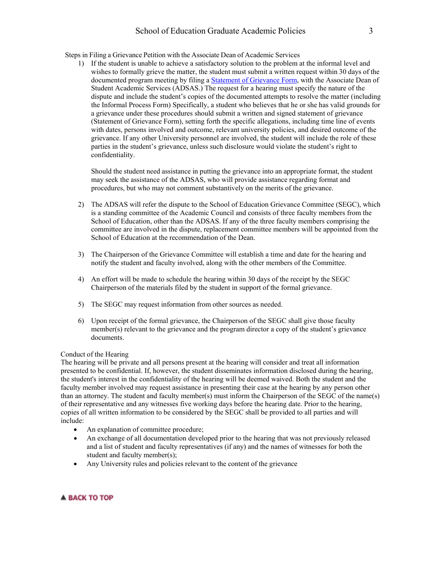Steps in Filing a Grievance Petition with the Associate Dean of Academic Services

1) If the student is unable to achieve a satisfactory solution to the problem at the informal level and wishes to formally grieve the matter, the student must submit a written request within 30 days of the documented program meeting by filing a [Statement of Grievance Form, w](http://www.luc.edu/media/lucedu/education/forms/misc/Grievance-Form.docx)ith the Associate Dean of Student Academic Services (ADSAS.) The request for a hearing must specify the nature of the dispute and include the student's copies of the documented attempts to resolve the matter (including the Informal Process Form) Specifically, a student who believes that he or she has valid grounds for a grievance under these procedures should submit a written and signed statement of grievance (Statement of Grievance Form), setting forth the specific allegations, including time line of events with dates, persons involved and outcome, relevant university policies, and desired outcome of the grievance. If any other University personnel are involved, the student will include the role of these parties in the student's grievance, unless such disclosure would violate the student's right to confidentiality.

Should the student need assistance in putting the grievance into an appropriate format, the student may seek the assistance of the ADSAS, who will provide assistance regarding format and procedures, but who may not comment substantively on the merits of the grievance.

- 2) The ADSAS will refer the dispute to the School of Education Grievance Committee (SEGC), which is a standing committee of the Academic Council and consists of three faculty members from the School of Education, other than the ADSAS. If any of the three faculty members comprising the committee are involved in the dispute, replacement committee members will be appointed from the School of Education at the recommendation of the Dean.
- 3) The Chairperson of the Grievance Committee will establish a time and date for the hearing and notify the student and faculty involved, along with the other members of the Committee.
- 4) An effort will be made to schedule the hearing within 30 days of the receipt by the SEGC Chairperson of the materials filed by the student in support of the formal grievance.
- 5) The SEGC may request information from other sources as needed.
- 6) Upon receipt of the formal grievance, the Chairperson of the SEGC shall give those faculty member(s) relevant to the grievance and the program director a copy of the student's grievance documents.

### Conduct of the Hearing

The hearing will be private and all persons present at the hearing will consider and treat all information presented to be confidential. If, however, the student disseminates information disclosed during the hearing, the student's interest in the confidentiality of the hearing will be deemed waived. Both the student and the faculty member involved may request assistance in presenting their case at the hearing by any person other than an attorney. The student and faculty member(s) must inform the Chairperson of the SEGC of the name(s) of their representative and any witnesses five working days before the hearing date. Prior to the hearing, copies of all written information to be considered by the SEGC shall be provided to all parties and will include:

- An explanation of committee procedure;
- An exchange of all documentation developed prior to the hearing that was not previously released and a list of student and faculty representatives (if any) and the names of witnesses for both the student and faculty member(s);
- Any University rules and policies relevant to the content of the grievance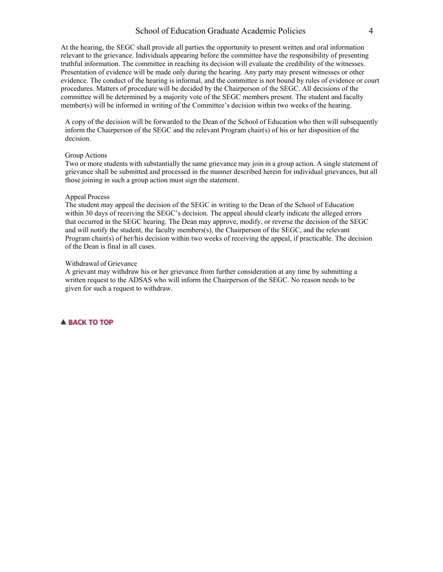At the hearing, the SEGC shall provide all parties the opportunity to present written and oral information relevant to the grievance. Individuals appearing before the committee have the responsibility of presenting truthful information. The committee in reaching its decision will evaluate the credibility of the witnesses. Presentation of evidence will be made only during the hearing. Any party may present witnesses or other evidence. The conduct of the hearing is informal, and the committee is not bound by rules of evidence or court procedures. Matters of procedure will be decided by the Chairperson of the SEGC. All decisions of the committee will be determined by a majority vote of the SEGC members present. The student and faculty member(s) will be informed in writing of the Committee's decision within two weeks of the hearing.

A copy of the decision will be forwarded to the Dean of the School of Education who then will subsequently inform the Chairperson of the SEGC and the relevant Program chair(s) of his or her disposition of the decision.

#### Group Actions

Two or more students with substantially the same grievance may join in a group action. A single statement of grievance shall be submitted and processed in the manner described herein for individual grievances, but all those joining in such a group action must sign the statement.

### Appeal Process

The student may appeal the decision of the SEGC in writing to the Dean of the School of Education within 30 days of receiving the SEGC's decision. The appeal should clearly indicate the alleged errors that occurred in the SEGC hearing. The Dean may approve, modify, or reverse the decision of the SEGC and will notify the student, the faculty members(s), the Chairperson of the SEGC, and the relevant Program chair(s) of her/his decision within two weeks of receiving the appeal, if practicable. The decision of the Dean is final in all cases.

#### Withdrawal of Grievance

A grievant may withdraw his or her grievance from further consideration at any time by submitting a written request to the ADSAS who will inform the Chairperson of the SEGC. No reason needs to be given for such a request to withdraw.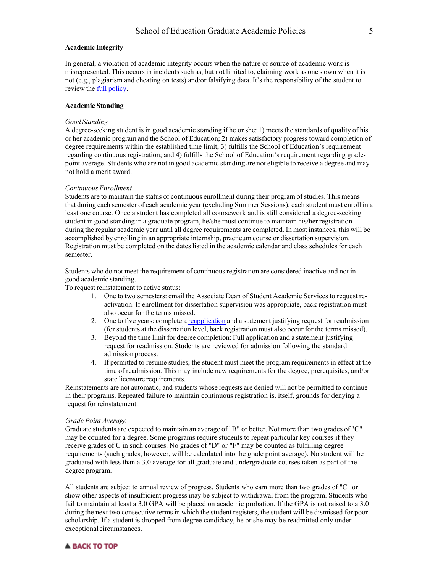#### **Academic Integrity**

In general, a violation of academic integrity occurs when the nature or source of academic work is misrepresented. This occurs in incidents such as, but not limited to, claiming work as one's own when it is not (e.g., plagiarism and cheating on tests) and/or falsifying data. It's the responsibility of the student to review the full [policy.](https://www.luc.edu/academics/catalog/undergrad/reg_academicintegrity.shtml)

### <span id="page-4-0"></span>**Academic Standing**

#### *Good Standing*

A degree-seeking student is in good academic standing if he or she: 1) meets the standards of quality of his or her academic program and the School of Education; 2) makes satisfactory progress toward completion of degree requirements within the established time limit; 3) fulfills the School of Education's requirement regarding continuous registration; and 4) fulfills the School of Education's requirement regarding gradepoint average. Students who are not in good academic standing are not eligible to receive a degree and may not hold a merit award.

#### *Continuous Enrollment*

Students are to maintain the status of continuous enrollment during their program of studies. This means that during each semester of each academic year (excluding Summer Sessions), each student must enroll in a least one course. Once a student has completed all coursework and is still considered a degree-seeking student in good standing in a graduate program, he/she must continue to maintain his/her registration during the regular academic year until all degree requirements are completed. In most instances, this will be accomplished by enrolling in an appropriate internship, practicum course or dissertation supervision. Registration must be completed on the dates listed in the academic calendar and class schedules for each semester.

Students who do not meet the requirement of continuousregistration are considered inactive and not in good academic standing.

To request reinstatement to active status:

- 1. One to two semesters: email the Associate Dean of Student Academic Services to request reactivation. If enrollment for dissertation supervision was appropriate, back registration must also occur for the terms missed.
- 2. One to five years: complete a [reapplication](http://www.luc.edu/education/admission_reapplication.shtml) and a statement justifying request for readmission (for students at the dissertation level, back registration must also occur for the terms missed).
- 3. Beyond the time limit for degree completion: Full application and a statement justifying request for readmission. Students are reviewed for admission following the standard admission process.
- 4. If permitted to resume studies, the student must meet the program requirements in effect at the time of readmission. This may include new requirements for the degree, prerequisites, and/or state licensure requirements.

Reinstatements are not automatic, and students whose requests are denied will not be permitted to continue in their programs. Repeated failure to maintain continuous registration is, itself, grounds for denying a request for reinstatement.

#### *Grade Point Average*

Graduate students are expected to maintain an average of "B" or better. Not more than two grades of "C" may be counted for a degree. Some programs require students to repeat particular key courses if they receive grades of C in such courses. No grades of "D" or "F" may be counted as fulfilling degree requirements (such grades, however, will be calculated into the grade point average). No student will be graduated with less than a 3.0 average for all graduate and undergraduate courses taken as part of the degree program.

All students are subject to annual review of progress. Students who earn more than two grades of "C" or show other aspects of insufficient progress may be subject to withdrawal from the program. Students who fail to maintain at least a 3.0 GPA will be placed on academic probation. If the GPA is not raised to a 3.0 during the next two consecutive terms in which the student registers, the student will be dismissed for poor scholarship. If a student is dropped from degree candidacy, he or she may be readmitted only under exceptional circumstances.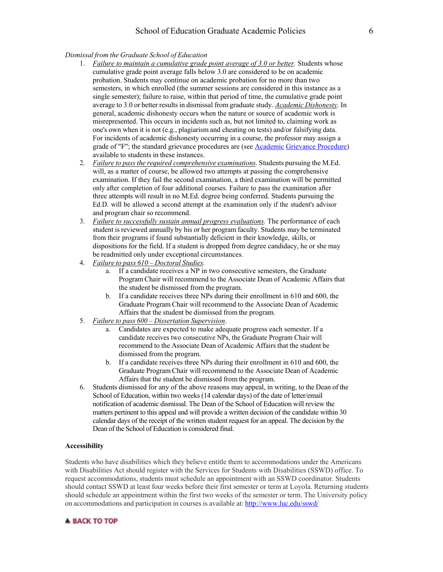### *Dismissal from the Graduate School of Education*

- 1. *Failure to maintain a cumulative grade point average of 3.0 or better.* Students whose cumulative grade point average falls below 3.0 are considered to be on academic probation. Students may continue on academic probation for no more than two semesters, in which enrolled (the summer sessions are considered in this instance as a single semester); failure to raise, within that period of time, the cumulative grade point average to 3.0 or better results in dismissal from graduate study. *Academic Dishonesty.* In general, academic dishonesty occurs when the nature or source of academic work is misrepresented. This occurs in incidents such as, but not limited to, claiming work as one's own when it is not (e.g., plagiarism and cheating on tests) and/or falsifying data. For incidents of academic dishonesty occurring in a course, the professor may assign a grade of "F"; the standard grievance procedures are (see [Academic](http://www.luc.edu/media/lucedu/education/forms/misc/SUBMIT_grievance_procedures-form.pdf) [Grievance Procedure\)](http://www.luc.edu/media/lucedu/education/forms/misc/SUBMIT_grievance_procedures-form.pdf) available to students in these instances.
- 2. *Failure to passthe required comprehensive examinations.* Students pursuing the M.Ed. will, as a matter of course, be allowed two attempts at passing the comprehensive examination. If they fail the second examination, a third examination will be permitted only after completion of four additional courses. Failure to pass the examination after three attempts will result in no M.Ed. degree being conferred. Students pursuing the Ed.D. will be allowed a second attempt at the examination only if the student's advisor and program chair so recommend.
- 3. *Failure to successfully sustain annual progress evaluations.* The performance of each student is reviewed annually by his or her program faculty. Students may be terminated from their programs if found substantially deficient in their knowledge, skills, or dispositions for the field. If a student is dropped from degree candidacy, he or she may be readmitted only under exceptional circumstances.
- 4. *Failure to pass 610 – Doctoral Studies.*
	- a. If a candidate receives a NP in two consecutive semesters, the Graduate Program Chair will recommend to the Associate Dean of Academic Affairs that the student be dismissed from the program.
	- b. If a candidate receives three NPs during their enrollment in 610 and 600, the Graduate Program Chair will recommend to the Associate Dean of Academic Affairs that the student be dismissed from the program.
- 5. *Failure to pass 600 – Dissertation Supervision*.
	- a. Candidates are expected to make adequate progress each semester. If a candidate receives two consecutive NPs, the Graduate Program Chair will recommend to the Associate Dean of Academic Affairs that the student be dismissed from the program.
	- b. If a candidate receives three NPs during their enrollment in 610 and 600, the Graduate Program Chair will recommend to the Associate Dean of Academic Affairs that the student be dismissed from the program.
- 6. Students dismissed for any of the above reasons may appeal, in writing, to the Dean of the School of Education, within two weeks (14 calendar days) of the date of letter/email notification of academic dismissal. The Dean of the School of Education will review the matters pertinent to this appeal and will provide a written decision of the candidate within 30 calendar days of the receipt of the written student request for an appeal. The decision by the Dean of the School of Education is considered final.

### <span id="page-5-0"></span>**Accessibility**

Students who have disabilities which they believe entitle them to accommodations under the Americans with Disabilities Act should register with the Services for Students with Disabilities (SSWD) office. To request accommodations, students must schedule an appointment with an SSWD coordinator. Students should contact SSWD at least four weeks before their first semester or term at Loyola. Returning students should schedule an appointment within the first two weeks of the semester or term. The University policy on accommodations and participation in courses is available at: <http://www.luc.edu/sswd/>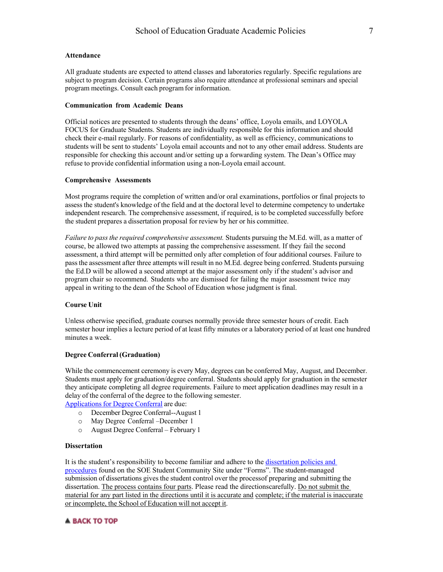### <span id="page-6-0"></span>**Attendance**

All graduate students are expected to attend classes and laboratories regularly. Specific regulations are subject to program decision. Certain programs also require attendance at professional seminars and special program meetings. Consult each program for information.

### <span id="page-6-1"></span>**Communication from Academic Deans**

Official notices are presented to students through the deans' office, Loyola emails, and LOYOLA FOCUS for Graduate Students. Students are individually responsible for this information and should check their e-mail regularly. For reasons of confidentiality, as well as efficiency, communications to students will be sent to students' Loyola email accounts and not to any other email address. Students are responsible for checking this account and/or setting up a forwarding system. The Dean's Office may refuse to provide confidential information using a non-Loyola email account.

#### <span id="page-6-2"></span>**Comprehensive Assessments**

Most programs require the completion of written and/or oral examinations, portfolios or final projects to assess the student's knowledge of the field and at the doctoral level to determine competency to undertake independent research. The comprehensive assessment, if required, is to be completed successfully before the student prepares a dissertation proposal for review by her or his committee.

*Failure to passthe required comprehensive assessment.* Students pursuing the M.Ed. will, as a matter of course, be allowed two attempts at passing the comprehensive assessment. If they fail the second assessment, a third attempt will be permitted only after completion of four additional courses. Failure to passthe assessment after three attempts will result in no M.Ed. degree being conferred. Students pursuing the Ed.D will be allowed a second attempt at the major assessment only if the student's advisor and program chair so recommend. Students who are dismissed for failing the major assessment twice may appeal in writing to the dean of the School of Education whose judgment is final.

### <span id="page-6-3"></span>**Course Unit**

Unless otherwise specified, graduate courses normally provide three semester hours of credit. Each semester hour implies a lecture period of at least fifty minutes or a laboratory period of at least one hundred minutes a week.

#### <span id="page-6-4"></span>**Degree Conferral (Graduation)**

While the commencement ceremony is every May, degrees can be conferred May, August, and December. Students must apply for graduation/degree conferral. Students should apply for graduation in the semester they anticipate completing all degree requirements. Failure to meet application deadlines may result in a delay of the conferral of the degree to the following semester.

Applications for Degree Conferral are due:

- o December Degree Conferral--August 1
- o May Degree Conferral –December 1
- o August Degree Conferral February 1

#### <span id="page-6-5"></span>**Dissertation**

It is the student's responsibility to become familiar and adhere to the dissertation [policies and](https://sakai.luc.edu/access/content/group/093bb87f-8722-45ea-897f-6e3379935dab/Student%20Forms/EdD%20Capstone%20and%20Dissertation%20Materials/10.16.20%20FINAL%20Directions%20for%20Student-Managed%20Submission%20of%20EdD%20DissertationAY%20Fall%202019%2B_Redacted.pdf)  [procedures](https://sakai.luc.edu/access/content/group/093bb87f-8722-45ea-897f-6e3379935dab/Student%20Forms/EdD%20Capstone%20and%20Dissertation%20Materials/10.16.20%20FINAL%20Directions%20for%20Student-Managed%20Submission%20of%20EdD%20DissertationAY%20Fall%202019%2B_Redacted.pdf) found on the SOE Student Community Site under "Forms". The student-managed submission of dissertations gives the student control over the processof preparing and submitting the dissertation. The process contains four parts. Please read the directionscarefully. Do not submit the material for any part listed in the directions until it is accurate and complete; if the material is inaccurate or incomplete, the School of Education will not accept it.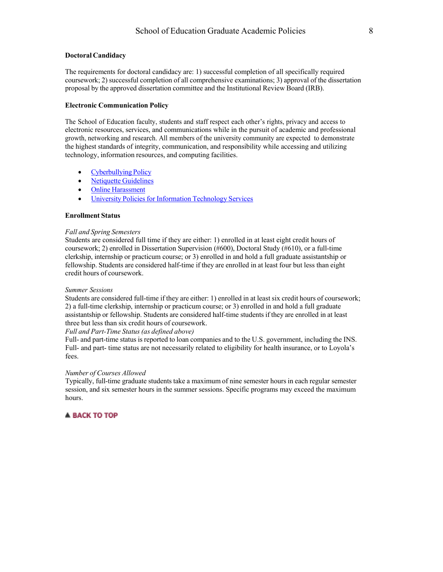#### <span id="page-7-0"></span>**Doctoral Candidacy**

The requirements for doctoral candidacy are: 1) successful completion of all specifically required coursework; 2) successful completion of all comprehensive examinations; 3) approval of the dissertation proposal by the approved dissertation committee and the Institutional Review Board (IRB).

### <span id="page-7-1"></span>**Electronic Communication Policy**

The School of Education faculty, students and staff respect each other's rights, privacy and access to electronic resources, services, and communications while in the pursuit of academic and professional growth, networking and research. All members of the university community are expected to demonstrate the highest standards of integrity, communication, and responsibility while accessing and utilizing technology, information resources, and computing facilities.

- [Cyberbullying](http://www.luc.edu/media/lucedu/education/pdfs/SOE_Cyberbullying_Policy.pdf) Policy
- Netiquette [Guidelines](http://www.luc.edu/media/lucedu/education/pdfs/SOE_Netiquette_Guidelines.pdf)
- Online [Harassment](http://www.luc.edu/its/itspoliciesguidelines/policy_onlineharassment.shtml)
- University Policies for [Information](http://www.luc.edu/policy/its/index.shtml) Technology Services

#### <span id="page-7-2"></span>**Enrollment Status**

#### *Fall and Spring Semesters*

Students are considered full time if they are either: 1) enrolled in at least eight credit hours of coursework; 2) enrolled in Dissertation Supervision (#600), Doctoral Study (#610), or a full-time clerkship, internship or practicum course; or 3) enrolled in and hold a full graduate assistantship or fellowship. Students are considered half-time if they are enrolled in at least four but less than eight credit hours of coursework.

### *Summer Sessions*

Students are considered full-time if they are either: 1) enrolled in at least six credit hours of coursework; 2) a full-time clerkship, internship or practicum course; or 3) enrolled in and hold a full graduate assistantship or fellowship. Students are considered half-time students if they are enrolled in at least three but less than six credit hours of coursework.

### *Full and Part-Time Status (as defined above)*

Full- and part-time status is reported to loan companies and to the U.S. government, including the INS. Full- and part- time status are not necessarily related to eligibility for health insurance, or to Loyola's fees.

### *Number of Courses Allowed*

Typically, full-time graduate students take a maximum of nine semester hours in each regular semester session, and six semester hours in the summer sessions. Specific programs may exceed the maximum hours.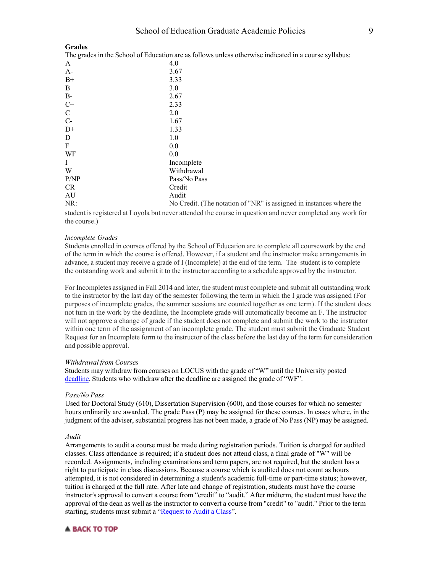#### <span id="page-8-0"></span>**Grades**

The grades in the School of Education are as follows unless otherwise indicated in a course syllabus:

| ັ             |                 |
|---------------|-----------------|
| A             | 4.0             |
| $A-$          | 3.67            |
| $B+$          | 3.33            |
| B             | 3.0             |
| $B-$          | 2.67            |
| $C+$          | 2.33            |
| $\mathcal{C}$ | 2.0             |
| $C-$          | 1.67            |
| $D+$          | 1.33            |
| D             | 1.0             |
| F             | 0.0             |
| WF            | 0.0             |
| I             | Incomplete      |
| W             | Withdrawal      |
| P/NP          | Pass/No Pass    |
| <b>CR</b>     | Credit          |
| AU            | Audit           |
| $NP \cdot$    | $N_0$ Credit (T |

No Credit. (The notation of "NR" is assigned in instances where the student isregistered at Loyola but never attended the course in question and never completed any work for the course.)

### *Incomplete Grades*

Students enrolled in courses offered by the School of Education are to complete all coursework by the end of the term in which the course is offered. However, if a student and the instructor make arrangements in advance, a student may receive a grade of I (Incomplete) at the end of the term. The student is to complete the outstanding work and submit it to the instructor according to a schedule approved by the instructor.

For Incompletes assigned in Fall 2014 and later, the student must complete and submit all outstanding work to the instructor by the last day of the semester following the term in which the I grade was assigned (For purposes of incomplete grades, the summer sessions are counted together as one term). If the student does not turn in the work by the deadline, the Incomplete grade will automatically become an F. The instructor will not approve a change of grade if the student does not complete and submit the work to the instructor within one term of the assignment of an incomplete grade. The student must submit the Graduate Student Request for an Incomplete form to the instructor of the class before the last day of the term for consideration and possible approval.

#### *Withdrawal from Courses*

Students may withdraw from courses on LOCUS with the grade of "W" until the University posted [deadline.](http://www.luc.edu/academics/schedules) Students who withdraw after the deadline are assigned the grade of "WF".

#### *Pass/No Pass*

Used for Doctoral Study (610), Dissertation Supervision (600), and those courses for which no semester hours ordinarily are awarded. The grade Pass (P) may be assigned for these courses. In cases where, in the judgment of the adviser, substantial progress has not been made, a grade of No Pass (NP) may be assigned.

#### *Audit*

Arrangements to audit a course must be made during registration periods. Tuition is charged for audited classes. Class attendance is required; if a student does not attend class, a final grade of "W" will be recorded. Assignments, including examinations and term papers, are not required, but the student has a right to participate in class discussions. Because a course which is audited does not count as hours attempted, it is not considered in determining a student's academic full-time or part-time status; however, tuition is charged at the full rate. After late and change of registration, students must have the course instructor's approval to convert a course from "credit" to "audit." After midterm, the student must have the approval of the dean as well as the instructor to convert a course from "credit" to "audit." Prior to the term starting, students must submit a ["Request](https://www.luc.edu/media/lucedu/registrationrecords/pdfs/GRAD_Course_Audit_Request.pdf) to Audit a Class".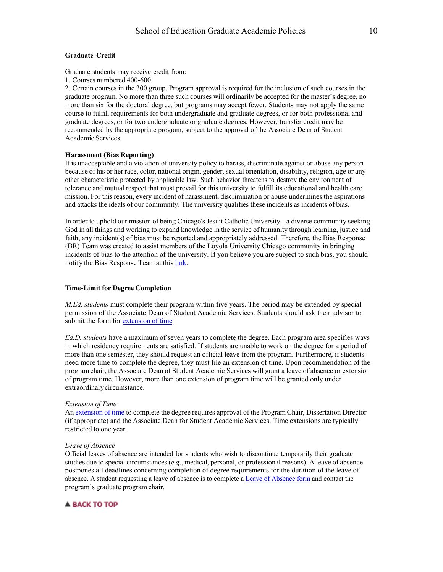### <span id="page-9-0"></span>**Graduate Credit**

Graduate students may receive credit from:

1. Courses numbered 400-600.

2. Certain courses in the 300 group. Program approval is required for the inclusion of such courses in the graduate program. No more than three such courses will ordinarily be accepted for the master's degree, no more than six for the doctoral degree, but programs may accept fewer. Students may not apply the same course to fulfill requirements for both undergraduate and graduate degrees, or for both professional and graduate degrees, or for two undergraduate or graduate degrees. However, transfer credit may be recommended by the appropriate program, subject to the approval of the Associate Dean of Student Academic Services.

### <span id="page-9-1"></span>**Harassment (Bias Reporting)**

It is unacceptable and a violation of university policy to harass, discriminate against or abuse any person because of his or her race, color, national origin, gender, sexual orientation, disability, religion, age or any other characteristic protected by applicable law. Such behavior threatens to destroy the environment of tolerance and mutual respect that must prevail for this university to fulfill its educational and health care mission. For this reason, every incident of harassment, discrimination or abuse undermines the aspirations and attacks the ideals of our community. The university qualifies these incidents as incidents of bias.

In order to uphold our mission of being Chicago's Jesuit Catholic University-- a diverse community seeking God in all things and working to expand knowledge in the service of humanity through learning, justice and faith, any incident(s) of bias must be reported and appropriately addressed. Therefore, the Bias Response (BR) Team was created to assist members of the Loyola University Chicago community in bringing incidents of bias to the attention of the university. If you believe you are subject to such bias, you should notify the Bias Response Team at this [link.](http://webapps.luc.edu/biasreporting/)

#### <span id="page-9-2"></span>**Time-Limit for Degree Completion**

*M.Ed. students* must complete their program within five years. The period may be extended by special permission of the Associate Dean of Student Academic Services. Students should ask their advisor to submit the form for [extension](http://www.luc.edu/education/resources_forms.shtml%23d.en.83368) of time

*Ed.D. students* have a maximum of seven years to complete the degree. Each program area specifies ways in which residency requirements are satisfied. If students are unable to work on the degree for a period of more than one semester, they should request an official leave from the program. Furthermore, if students need more time to complete the degree, they must file an extension of time. Upon recommendation of the program chair, the Associate Dean of Student Academic Services will grant a leave of absence or extension of program time. However, more than one extension of program time will be granted only under extraordinarycircumstance.

#### *Extension of Time*

An [extension](http://www.luc.edu/education/resources_forms.shtml%23d.en.83368) of time to complete the degree requires approval of the Program Chair, Dissertation Director (if appropriate) and the Associate Dean for Student Academic Services. Time extensions are typically restricted to one year.

# *Leave of Absence*

Official leaves of absence are intended for students who wish to discontinue temporarily their graduate studies due to special circumstances (*e.g*., medical, personal, or professional reasons). A leave of absence postpones all deadlines concerning completion of degree requirements for the duration of the leave of absence. A student requesting a leave of absence is to complete a Leave [of Absence](http://www.luc.edu/education/resources_forms.shtml%23d.en.83368) form and contact the program's graduate program chair.